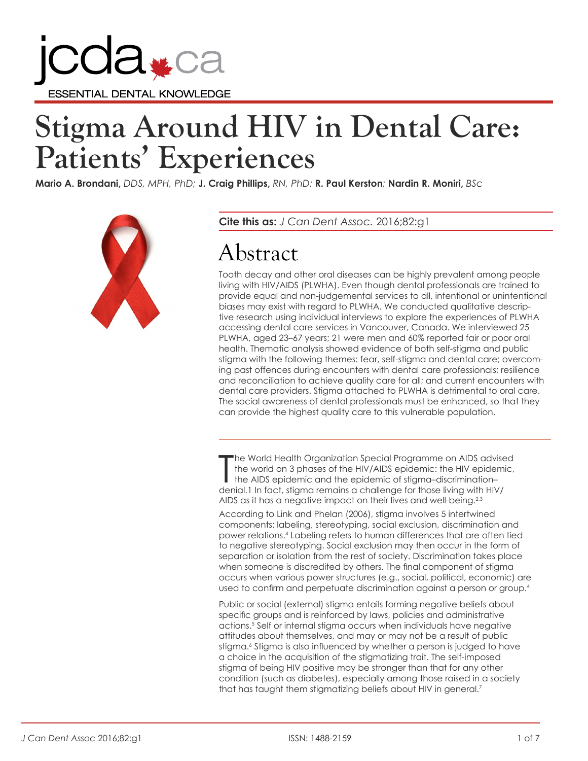

# **Stigma Around HIV in Dental Care: Patients' Experiences**

**Mario A. Brondani,** *DDS, MPH, PhD;* **J. Craig Phillips,** *RN, PhD;* **R. Paul Kerston***;* **Nardin R. Moniri,** *BSc*



**Cite this as:** *J Can Dent Assoc.* 2016;82:g1

# Abstract

Tooth decay and other oral diseases can be highly prevalent among people living with HIV/AIDS (PLWHA). Even though dental professionals are trained to provide equal and non-judgemental services to all, intentional or unintentional biases may exist with regard to PLWHA. We conducted qualitative descriptive research using individual interviews to explore the experiences of PLWHA accessing dental care services in Vancouver, Canada. We interviewed 25 PLWHA, aged 23–67 years; 21 were men and 60% reported fair or poor oral health. Thematic analysis showed evidence of both self-stigma and public stigma with the following themes: fear, self-stigma and dental care; overcoming past offences during encounters with dental care professionals; resilience and reconciliation to achieve quality care for all; and current encounters with dental care providers. Stigma attached to PLWHA is detrimental to oral care. The social awareness of dental professionals must be enhanced, so that they can provide the highest quality care to this vulnerable population.

The World Health Organization Special Programme on AIDS advises the WORLD and the HIV/AIDS epidemic: the HIV epidem the AIDS epidemic and the epidemic of stigma-discrimination-<br>denial.1 In fact, stigma remains a challenge he World Health Organization Special Programme on AIDS advised the world on 3 phases of the HIV/AIDS epidemic: the HIV epidemic, the AIDS epidemic and the epidemic of stigma–discrimination– AIDS as it has a negative impact on their lives and well-being.<sup>2,3</sup>

According to Link and Phelan (2006), stigma involves 5 intertwined components: labeling, stereotyping, social exclusion, discrimination and power relations.4 Labeling refers to human differences that are often tied to negative stereotyping. Social exclusion may then occur in the form of separation or isolation from the rest of society. Discrimination takes place when someone is discredited by others. The final component of stigma occurs when various power structures (e.g., social, political, economic) are used to confirm and perpetuate discrimination against a person or group.<sup>4</sup>

Public or social (external) stigma entails forming negative beliefs about specific groups and is reinforced by laws, policies and administrative actions.5 Self or internal stigma occurs when individuals have negative attitudes about themselves, and may or may not be a result of public stigma.6 Stigma is also influenced by whether a person is judged to have a choice in the acquisition of the stigmatizing trait. The self-imposed stigma of being HIV positive may be stronger than that for any other condition (such as diabetes), especially among those raised in a society that has taught them stigmatizing beliefs about HIV in general.<sup>7</sup>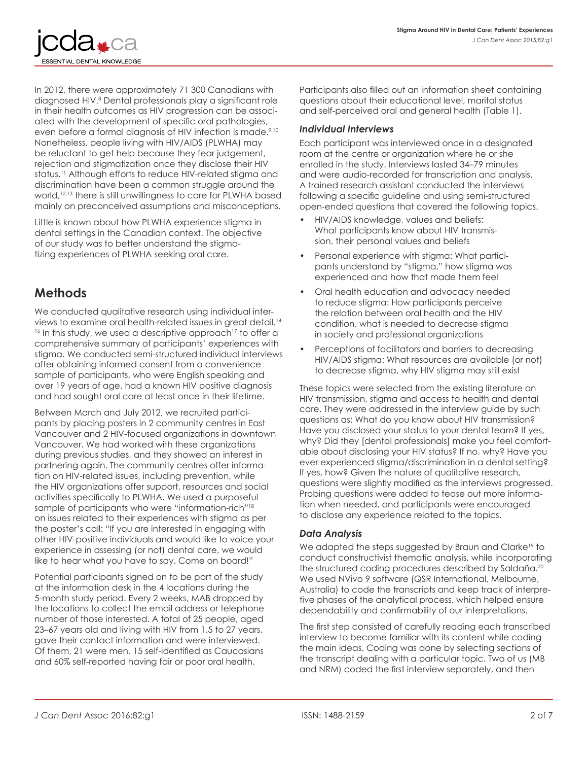

In 2012, there were approximately 71 300 Canadians with diagnosed HIV.8 Dental professionals play a significant role in their health outcomes as HIV progression can be associated with the development of specific oral pathologies, even before a formal diagnosis of HIV infection is made.<sup>9,10</sup> Nonetheless, people living with HIV/AIDS (PLWHA) may be reluctant to get help because they fear judgement, rejection and stigmatization once they disclose their HIV status.<sup>11</sup> Although efforts to reduce HIV-related stigma and discrimination have been a common struggle around the world,12,13 there is still unwillingness to care for PLWHA based mainly on preconceived assumptions and misconceptions.

Little is known about how PLWHA experience stigma in dental settings in the Canadian context. The objective of our study was to better understand the stigmatizing experiences of PLWHA seeking oral care.

## **Methods**

We conducted qualitative research using individual interviews to examine oral health-related issues in great detail.14- <sup>16</sup> In this study, we used a descriptive approach<sup>17</sup> to offer a comprehensive summary of participants' experiences with stigma. We conducted semi-structured individual interviews after obtaining informed consent from a convenience sample of participants, who were English speaking and over 19 years of age, had a known HIV positive diagnosis and had sought oral care at least once in their lifetime.

Between March and July 2012, we recruited participants by placing posters in 2 community centres in East Vancouver and 2 HIV-focused organizations in downtown Vancouver. We had worked with these organizations during previous studies, and they showed an interest in partnering again. The community centres offer information on HIV-related issues, including prevention, while the HIV organizations offer support, resources and social activities specifically to PLWHA. We used a purposeful sample of participants who were "information-rich"<sup>18</sup> on issues related to their experiences with stigma as per the poster's call: "If you are interested in engaging with other HIV-positive individuals and would like to voice your experience in assessing (or not) dental care, we would like to hear what you have to say. Come on board!"

Potential participants signed on to be part of the study at the information desk in the 4 locations during the 5-month study period. Every 2 weeks, MAB dropped by the locations to collect the email address or telephone number of those interested. A total of 25 people, aged 23–67 years old and living with HIV from 1.5 to 27 years, gave their contact information and were interviewed. Of them, 21 were men, 15 self-identified as Caucasians and 60% self-reported having fair or poor oral health.

Participants also filled out an information sheet containing questions about their educational level, marital status and self-perceived oral and general health (Table 1).

#### *Individual Interviews*

Each participant was interviewed once in a designated room at the centre or organization where he or she enrolled in the study. Interviews lasted 34–79 minutes and were audio-recorded for transcription and analysis. A trained research assistant conducted the interviews following a specific guideline and using semi-structured open-ended questions that covered the following topics.

- HIV/AIDS knowledge, values and beliefs: What participants know about HIV transmission, their personal values and beliefs
- Personal experience with stigma: What participants understand by "stigma," how stigma was experienced and how that made them feel
- Oral health education and advocacy needed to reduce stigma: How participants perceive the relation between oral health and the HIV condition, what is needed to decrease stigma in society and professional organizations
- Perceptions of facilitators and barriers to decreasing HIV/AIDS stigma: What resources are available (or not) to decrease stigma, why HIV stigma may still exist

These topics were selected from the existing literature on HIV transmission, stigma and access to health and dental care. They were addressed in the interview guide by such questions as: What do you know about HIV transmission? Have you disclosed your status to your dental team? If yes, why? Did they [dental professionals] make you feel comfortable about disclosing your HIV status? If no, why? Have you ever experienced stigma/discrimination in a dental setting? If yes, how? Given the nature of qualitative research, questions were slightly modified as the interviews progressed. Probing questions were added to tease out more information when needed, and participants were encouraged to disclose any experience related to the topics.

#### *Data Analysis*

We adapted the steps suggested by Braun and Clarke<sup>19</sup> to conduct constructivist thematic analysis, while incorporating the structured coding procedures described by Saldaña.<sup>20</sup> We used NVivo 9 software (QSR International, Melbourne, Australia) to code the transcripts and keep track of interpretive phases of the analytical process, which helped ensure dependability and confirmability of our interpretations.

The first step consisted of carefully reading each transcribed interview to become familiar with its content while coding the main ideas. Coding was done by selecting sections of the transcript dealing with a particular topic. Two of us (MB and NRM) coded the first interview separately, and then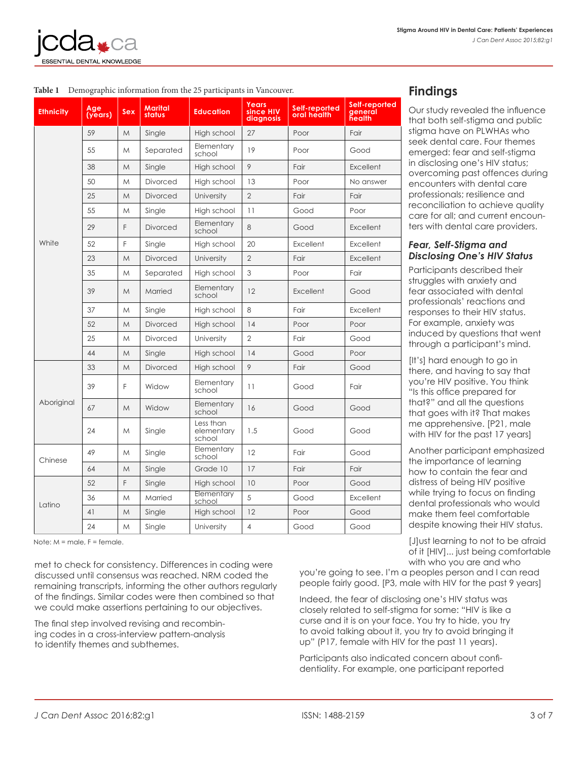

|                                                                        |  |  |  | <b>Venre</b> |  |  |  |  |  |  |
|------------------------------------------------------------------------|--|--|--|--------------|--|--|--|--|--|--|
| Table 1 Demographic information from the 25 participants in Vancouver. |  |  |  |              |  |  |  |  |  |  |

| <b>Ethnicity</b> | Age<br>(years) | Sex | Marital<br>status | <b>Education</b>                  | Years<br>since HIV<br>diagnosis | Self-reported<br>oral health | Self-reported<br>general<br>health |
|------------------|----------------|-----|-------------------|-----------------------------------|---------------------------------|------------------------------|------------------------------------|
|                  | 59             | M   | Single            | High school                       | 27                              | Poor                         | Fair                               |
|                  | 55             | M   | Separated         | Elementary<br>school              | 19                              | Poor                         | Good                               |
|                  | 38             | M   | Single            | High school                       | 9                               | Fair                         | Excellent                          |
|                  | 50             | M   | <b>Divorced</b>   | High school                       | 13                              | Poor                         | No answer                          |
|                  | 25             | M   | <b>Divorced</b>   | University                        | $\overline{2}$                  | Fair                         | Fair                               |
|                  | 55             | M   | Single            | High school                       | 11                              | Good                         | Poor                               |
|                  | 29             | F   | <b>Divorced</b>   | Elementary<br>school              | 8                               | Good                         | Excellent                          |
| White            | 52             | F   | Single            | High school                       | 20                              | Excellent                    | Excellent                          |
|                  | 23             | M   | <b>Divorced</b>   | University                        | $\mathbf{2}$                    | Fair                         | <b>Excellent</b>                   |
|                  | 35             | M   | Separated         | High school                       | 3                               | Poor                         | Fair                               |
|                  | 39             | M   | Married           | Elementary<br>school              | 12                              | Excellent                    | Good                               |
|                  | 37             | M   | Single            | High school                       | 8                               | Fair                         | Excellent                          |
|                  | 52             | M   | <b>Divorced</b>   | High school                       | 14                              | Poor                         | Poor                               |
|                  | 25             | M   | <b>Divorced</b>   | University                        | $\overline{2}$                  | Fair                         | Good                               |
|                  | 44             | M   | Single            | High school                       | 14                              | Good                         | Poor                               |
| Aboriginal       | 33             | M   | <b>Divorced</b>   | High school                       | 9                               | Fair                         | Good                               |
|                  | 39             | F   | Widow             | Elementary<br>school              | 11                              | Good                         | Fair                               |
|                  | 67             | M   | Widow             | Elementary<br>school              | 16                              | Good                         | Good                               |
|                  | 24             | M   | Single            | Less than<br>elementary<br>school | 1.5                             | Good                         | Good                               |
| Chinese          | 49             | Μ   | Single            | Elementary<br>school              | 12                              | Fair                         | Good                               |
|                  | 64             | M   | Single            | Grade 10                          | 17                              | Fair                         | Fair                               |
|                  | 52             | F   | Single            | High school                       | 10                              | Poor                         | Good                               |
| Latino           | 36             | M   | Married           | Elementary<br>school              | 5                               | Good                         | Excellent                          |
|                  | 41             | M   | Single            | High school                       | 12                              | Poor                         | Good                               |
|                  | 24             | M   | Single            | University                        | $\overline{4}$                  | Good                         | Good                               |

 $Note: M = mole$ ,  $F = female$ .

met to check for consistency. Differences in coding were discussed until consensus was reached. NRM coded the remaining transcripts, informing the other authors regularly of the findings. Similar codes were then combined so that we could make assertions pertaining to our objectives.

The final step involved revising and recombining codes in a cross-interview pattern-analysis to identify themes and subthemes.

# **Findings**

Our study revealed the influence that both self-stigma and public stigma have on PLWHAs who seek dental care. Four themes emerged: fear and self-stigma in disclosing one's HIV status; overcoming past offences during encounters with dental care professionals; resilience and reconciliation to achieve quality care for all; and current encounters with dental care providers.

#### *Fear, Self-Stigma and Disclosing One's HIV Status*

Participants described their struggles with anxiety and fear associated with dental professionals' reactions and responses to their HIV status. For example, anxiety was induced by questions that went through a participant's mind.

[It's] hard enough to go in there, and having to say that you're HIV positive. You think "Is this office prepared for that?" and all the questions that goes with it? That makes me apprehensive. [P21, male with HIV for the past 17 years]

Another participant emphasized the importance of learning how to contain the fear and distress of being HIV positive while trying to focus on finding dental professionals who would make them feel comfortable despite knowing their HIV status.

[J]ust learning to not to be afraid of it [HIV]... just being comfortable with who you are and who

you're going to see. I'm a peoples person and I can read people fairly good. [P3, male with HIV for the past 9 years]

Indeed, the fear of disclosing one's HIV status was closely related to self-stigma for some: "HIV is like a curse and it is on your face. You try to hide, you try to avoid talking about it, you try to avoid bringing it up" (P17, female with HIV for the past 11 years).

Participants also indicated concern about confidentiality. For example, one participant reported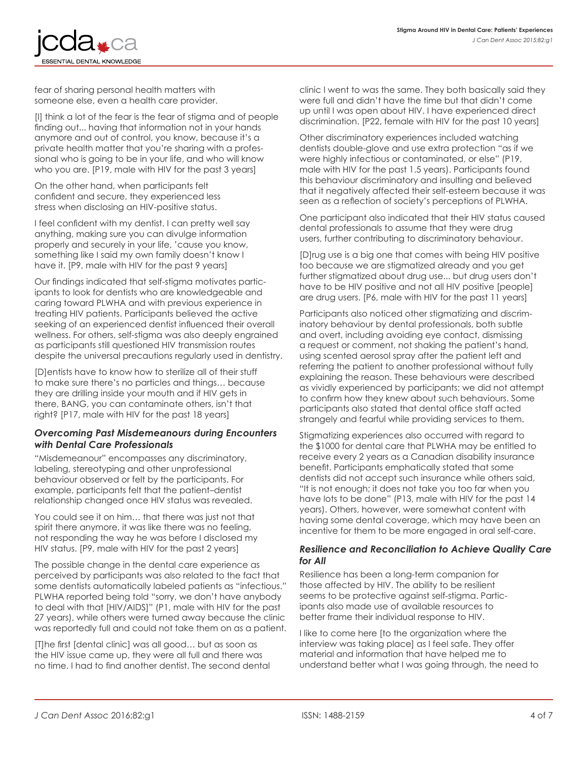

fear of sharing personal health matters with someone else, even a health care provider.

[I] think a lot of the fear is the fear of stigma and of people finding out... having that information not in your hands anymore and out of control, you know, because it's a private health matter that you're sharing with a professional who is going to be in your life, and who will know who you are. [P19, male with HIV for the past 3 years]

On the other hand, when participants felt confident and secure, they experienced less stress when disclosing an HIV-positive status.

I feel confident with my dentist. I can pretty well say anything, making sure you can divulge information properly and securely in your life, 'cause you know, something like I said my own family doesn't know I have it. [P9, male with HIV for the past 9 years]

Our findings indicated that self-stigma motivates participants to look for dentists who are knowledgeable and caring toward PLWHA and with previous experience in treating HIV patients. Participants believed the active seeking of an experienced dentist influenced their overall wellness. For others, self-stigma was also deeply engrained as participants still questioned HIV transmission routes despite the universal precautions regularly used in dentistry.

[D]entists have to know how to sterilize all of their stuff to make sure there's no particles and things… because they are drilling inside your mouth and if HIV gets in there, BANG, you can contaminate others, isn't that right? [P17, male with HIV for the past 18 years]

#### *Overcoming Past Misdemeanours during Encounters with Dental Care Professionals*

"Misdemeanour" encompasses any discriminatory, labeling, stereotyping and other unprofessional behaviour observed or felt by the participants. For example, participants felt that the patient–dentist relationship changed once HIV status was revealed.

You could see it on him… that there was just not that spirit there anymore, it was like there was no feeling, not responding the way he was before I disclosed my HIV status. [P9, male with HIV for the past 2 years]

The possible change in the dental care experience as perceived by participants was also related to the fact that some dentists automatically labeled patients as "infectious." PLWHA reported being told "sorry, we don't have anybody to deal with that [HIV/AIDS]" (P1, male with HIV for the past 27 years), while others were turned away because the clinic was reportedly full and could not take them on as a patient.

[T]he first [dental clinic] was all good… but as soon as the HIV issue came up, they were all full and there was no time. I had to find another dentist. The second dental clinic I went to was the same. They both basically said they were full and didn't have the time but that didn't come up until I was open about HIV. I have experienced direct discrimination. [P22, female with HIV for the past 10 years]

Other discriminatory experiences included watching dentists double-glove and use extra protection "as if we were highly infectious or contaminated, or else" (P19, male with HIV for the past 1.5 years). Participants found this behaviour discriminatory and insulting and believed that it negatively affected their self-esteem because it was seen as a reflection of society's perceptions of PLWHA.

One participant also indicated that their HIV status caused dental professionals to assume that they were drug users, further contributing to discriminatory behaviour.

[D]rug use is a big one that comes with being HIV positive too because we are stigmatized already and you get further stigmatized about drug use... but drug users don't have to be HIV positive and not all HIV positive [people] are drug users. [P6, male with HIV for the past 11 years]

Participants also noticed other stigmatizing and discriminatory behaviour by dental professionals, both subtle and overt, including avoiding eye contact, dismissing a request or comment, not shaking the patient's hand, using scented aerosol spray after the patient left and referring the patient to another professional without fully explaining the reason. These behaviours were described as vividly experienced by participants; we did not attempt to confirm how they knew about such behaviours. Some participants also stated that dental office staff acted strangely and fearful while providing services to them.

Stigmatizing experiences also occurred with regard to the \$1000 for dental care that PLWHA may be entitled to receive every 2 years as a Canadian disability insurance benefit. Participants emphatically stated that some dentists did not accept such insurance while others said, "It is not enough; it does not take you too far when you have lots to be done" (P13, male with HIV for the past 14 years). Others, however, were somewhat content with having some dental coverage, which may have been an incentive for them to be more engaged in oral self-care.

#### *Resilience and Reconciliation to Achieve Quality Care for All*

Resilience has been a long-term companion for those affected by HIV. The ability to be resilient seems to be protective against self-stigma. Participants also made use of available resources to better frame their individual response to HIV.

I like to come here [to the organization where the interview was taking place] as I feel safe. They offer material and information that have helped me to understand better what I was going through, the need to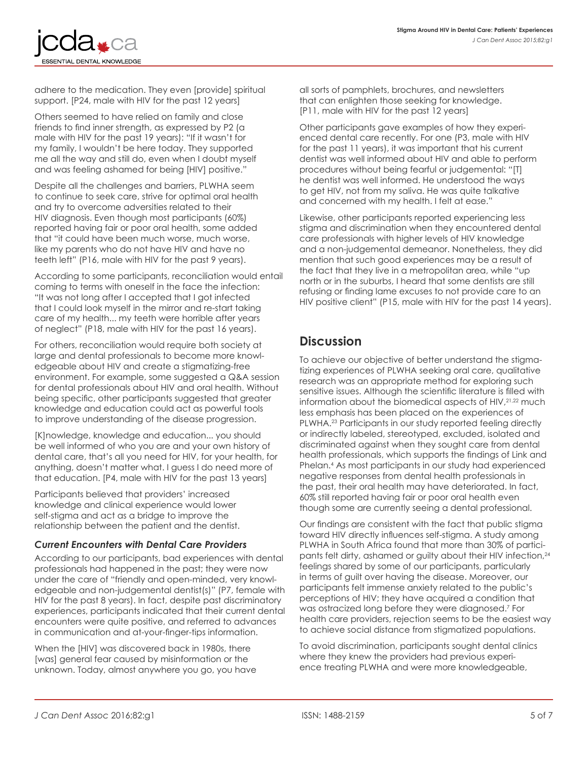

adhere to the medication. They even [provide] spiritual support. [P24, male with HIV for the past 12 years]

Others seemed to have relied on family and close friends to find inner strength, as expressed by P2 (a male with HIV for the past 19 years): "If it wasn't for my family, I wouldn't be here today. They supported me all the way and still do, even when I doubt myself and was feeling ashamed for being [HIV] positive."

Despite all the challenges and barriers, PLWHA seem to continue to seek care, strive for optimal oral health and try to overcome adversities related to their HIV diagnosis. Even though most participants (60%) reported having fair or poor oral health, some added that "it could have been much worse, much worse, like my parents who do not have HIV and have no teeth left" (P16, male with HIV for the past 9 years).

According to some participants, reconciliation would entail coming to terms with oneself in the face the infection: "It was not long after I accepted that I got infected that I could look myself in the mirror and re-start taking care of my health... my teeth were horrible after years of neglect" (P18, male with HIV for the past 16 years).

For others, reconciliation would require both society at large and dental professionals to become more knowledgeable about HIV and create a stigmatizing-free environment. For example, some suggested a Q&A session for dental professionals about HIV and oral health. Without being specific, other participants suggested that greater knowledge and education could act as powerful tools to improve understanding of the disease progression.

[K]nowledge, knowledge and education... you should be well informed of who you are and your own history of dental care, that's all you need for HIV, for your health, for anything, doesn't matter what. I guess I do need more of that education. [P4, male with HIV for the past 13 years]

Participants believed that providers' increased knowledge and clinical experience would lower self-stigma and act as a bridge to improve the relationship between the patient and the dentist.

#### *Current Encounters with Dental Care Providers*

According to our participants, bad experiences with dental professionals had happened in the past; they were now under the care of "friendly and open-minded, very knowledgeable and non-judgemental dentist(s)" (P7, female with HIV for the past 8 years). In fact, despite past discriminatory experiences, participants indicated that their current dental encounters were quite positive, and referred to advances in communication and at-your-finger-tips information.

When the [HIV] was discovered back in 1980s, there [was] general fear caused by misinformation or the unknown. Today, almost anywhere you go, you have all sorts of pamphlets, brochures, and newsletters that can enlighten those seeking for knowledge. [P11, male with HIV for the past 12 years]

Other participants gave examples of how they experienced dental care recently. For one (P3, male with HIV for the past 11 years), it was important that his current dentist was well informed about HIV and able to perform procedures without being fearful or judgemental: "[T] he dentist was well informed. He understood the ways to get HIV, not from my saliva. He was quite talkative and concerned with my health. I felt at ease."

Likewise, other participants reported experiencing less stigma and discrimination when they encountered dental care professionals with higher levels of HIV knowledge and a non-judgemental demeanor. Nonetheless, they did mention that such good experiences may be a result of the fact that they live in a metropolitan area, while "up north or in the suburbs, I heard that some dentists are still refusing or finding lame excuses to not provide care to an HIV positive client" (P15, male with HIV for the past 14 years).

# **Discussion**

To achieve our objective of better understand the stigmatizing experiences of PLWHA seeking oral care, qualitative research was an appropriate method for exploring such sensitive issues. Although the scientific literature is filled with information about the biomedical aspects of HIV, 21, 22 much less emphasis has been placed on the experiences of PLWHA.<sup>23</sup> Participants in our study reported feeling directly or indirectly labeled, stereotyped, excluded, isolated and discriminated against when they sought care from dental health professionals, which supports the findings of Link and Phelan.4 As most participants in our study had experienced negative responses from dental health professionals in the past, their oral health may have deteriorated. In fact, 60% still reported having fair or poor oral health even though some are currently seeing a dental professional.

Our findings are consistent with the fact that public stigma toward HIV directly influences self-stigma. A study among PLWHA in South Africa found that more than 30% of participants felt dirty, ashamed or guilty about their HIV infection,<sup>24</sup> feelings shared by some of our participants, particularly in terms of guilt over having the disease. Moreover, our participants felt immense anxiety related to the public's perceptions of HIV; they have acquired a condition that was ostracized long before they were diagnosed.7 For health care providers, rejection seems to be the easiest way to achieve social distance from stigmatized populations.

To avoid discrimination, participants sought dental clinics where they knew the providers had previous experience treating PLWHA and were more knowledgeable,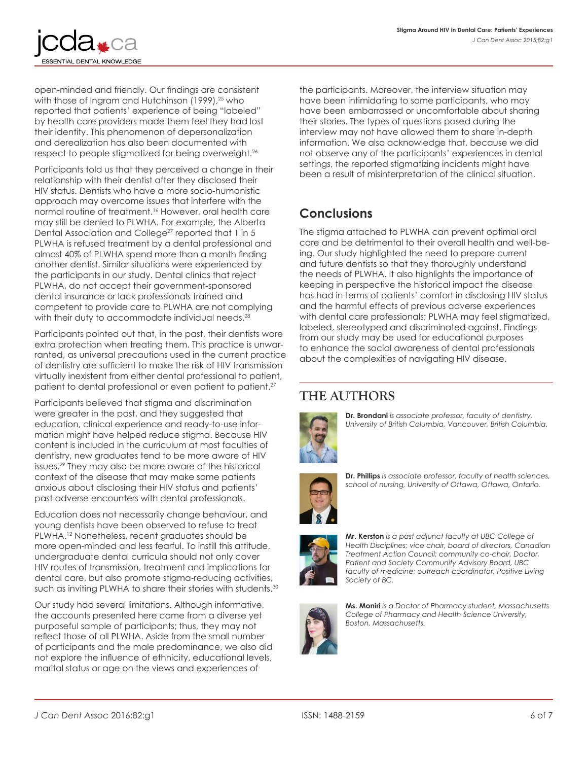

open-minded and friendly. Our findings are consistent with those of Ingram and Hutchinson (1999),<sup>25</sup> who reported that patients' experience of being "labeled" by health care providers made them feel they had lost their identity. This phenomenon of depersonalization and derealization has also been documented with respect to people stigmatized for being overweight.26

Participants told us that they perceived a change in their relationship with their dentist after they disclosed their HIV status. Dentists who have a more socio-humanistic approach may overcome issues that interfere with the normal routine of treatment.16 However, oral health care may still be denied to PLWHA. For example, the Alberta Dental Association and College<sup>27</sup> reported that 1 in 5 PLWHA is refused treatment by a dental professional and almost 40% of PLWHA spend more than a month finding another dentist. Similar situations were experienced by the participants in our study. Dental clinics that reject PLWHA, do not accept their government-sponsored dental insurance or lack professionals trained and competent to provide care to PLWHA are not complying with their duty to accommodate individual needs.<sup>28</sup>

Participants pointed out that, in the past, their dentists wore extra protection when treating them. This practice is unwarranted, as universal precautions used in the current practice of dentistry are sufficient to make the risk of HIV transmission virtually inexistent from either dental professional to patient, patient to dental professional or even patient to patient.<sup>27</sup>

Participants believed that stigma and discrimination were greater in the past, and they suggested that education, clinical experience and ready-to-use information might have helped reduce stigma. Because HIV content is included in the curriculum at most faculties of dentistry, new graduates tend to be more aware of HIV issues.29 They may also be more aware of the historical context of the disease that may make some patients anxious about disclosing their HIV status and patients' past adverse encounters with dental professionals.

Education does not necessarily change behaviour, and young dentists have been observed to refuse to treat PLWHA.12 Nonetheless, recent graduates should be more open-minded and less fearful. To instill this attitude, undergraduate dental curricula should not only cover HIV routes of transmission, treatment and implications for dental care, but also promote stigma-reducing activities, such as inviting PLWHA to share their stories with students.<sup>30</sup>

Our study had several limitations. Although informative, the accounts presented here came from a diverse yet purposeful sample of participants; thus, they may not reflect those of all PLWHA. Aside from the small number of participants and the male predominance, we also did not explore the influence of ethnicity, educational levels, marital status or age on the views and experiences of

the participants. Moreover, the interview situation may have been intimidating to some participants, who may have been embarrassed or uncomfortable about sharing their stories. The types of questions posed during the interview may not have allowed them to share in-depth information. We also acknowledge that, because we did not observe any of the participants' experiences in dental settings, the reported stigmatizing incidents might have been a result of misinterpretation of the clinical situation.

# **Conclusions**

The stigma attached to PLWHA can prevent optimal oral care and be detrimental to their overall health and well-being. Our study highlighted the need to prepare current and future dentists so that they thoroughly understand the needs of PLWHA. It also highlights the importance of keeping in perspective the historical impact the disease has had in terms of patients' comfort in disclosing HIV status and the harmful effects of previous adverse experiences with dental care professionals; PLWHA may feel stigmatized, labeled, stereotyped and discriminated against. Findings from our study may be used for educational purposes to enhance the social awareness of dental professionals about the complexities of navigating HIV disease.

# **THE AUTHORS**



**Dr. Brondani** *is associate professor, faculty of dentistry, University of British Columbia, Vancouver, British Columbia.*



**Dr. Phillips** *is associate professor, faculty of health sciences, school of nursing, University of Ottawa, Ottawa, Ontario.*



**Mr. Kerston** *is a past adjunct faculty at UBC College of Health Disciplines; vice chair, board of directors, Canadian Treatment Action Council; community co-chair, Doctor, Patient and Society Community Advisory Board, UBC faculty of medicine; outreach coordinator, Positive Living Society of BC.*



**Ms. Moniri** *is a Doctor of Pharmacy student, Massachusetts College of Pharmacy and Health Science University, Boston, Massachusetts.*